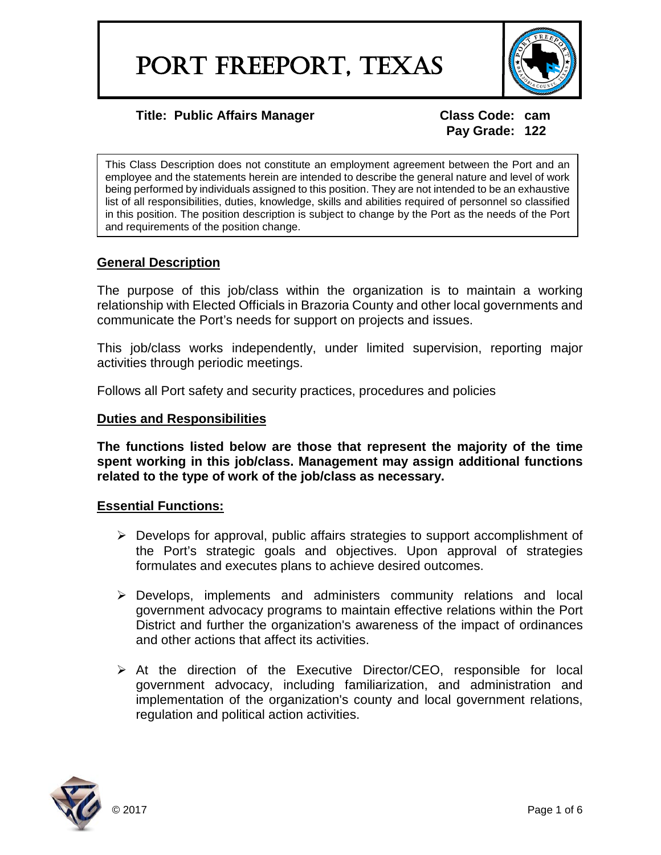

**Pay Grade: 122**

This Class Description does not constitute an employment agreement between the Port and an employee and the statements herein are intended to describe the general nature and level of work being performed by individuals assigned to this position. They are not intended to be an exhaustive list of all responsibilities, duties, knowledge, skills and abilities required of personnel so classified in this position. The position description is subject to change by the Port as the needs of the Port and requirements of the position change.

# **General Description**

The purpose of this job/class within the organization is to maintain a working relationship with Elected Officials in Brazoria County and other local governments and communicate the Port's needs for support on projects and issues.

This job/class works independently, under limited supervision, reporting major activities through periodic meetings.

Follows all Port safety and security practices, procedures and policies

#### **Duties and Responsibilities**

**The functions listed below are those that represent the majority of the time spent working in this job/class. Management may assign additional functions related to the type of work of the job/class as necessary.**

# **Essential Functions:**

- $\triangleright$  Develops for approval, public affairs strategies to support accomplishment of the Port's strategic goals and objectives. Upon approval of strategies formulates and executes plans to achieve desired outcomes.
- $\triangleright$  Develops, implements and administers community relations and local government advocacy programs to maintain effective relations within the Port District and further the organization's awareness of the impact of ordinances and other actions that affect its activities.
- $\triangleright$  At the direction of the Executive Director/CEO, responsible for local government advocacy, including familiarization, and administration and implementation of the organization's county and local government relations, regulation and political action activities.

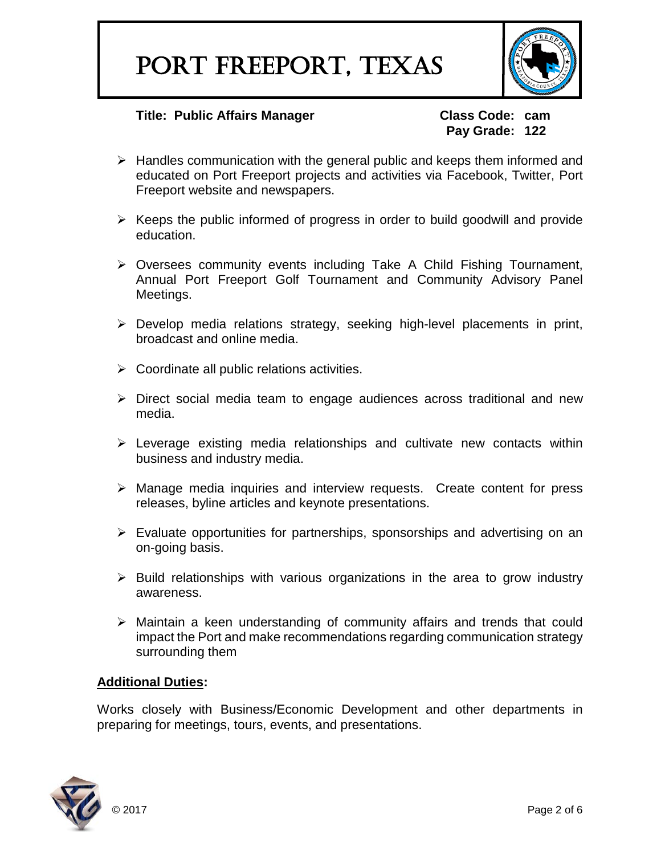

# **Pay Grade: 122**

- $\triangleright$  Handles communication with the general public and keeps them informed and educated on Port Freeport projects and activities via Facebook, Twitter, Port Freeport website and newspapers.
- $\triangleright$  Keeps the public informed of progress in order to build goodwill and provide education.
- Oversees community events including Take A Child Fishing Tournament, Annual Port Freeport Golf Tournament and Community Advisory Panel Meetings.
- $\triangleright$  Develop media relations strategy, seeking high-level placements in print, broadcast and online media.
- $\triangleright$  Coordinate all public relations activities.
- $\triangleright$  Direct social media team to engage audiences across traditional and new media.
- $\triangleright$  Leverage existing media relationships and cultivate new contacts within business and industry media.
- Manage media inquiries and interview requests. Create content for press releases, byline articles and keynote presentations.
- $\triangleright$  Evaluate opportunities for partnerships, sponsorships and advertising on an on-going basis.
- $\triangleright$  Build relationships with various organizations in the area to grow industry awareness.
- Maintain a keen understanding of community affairs and trends that could impact the Port and make recommendations regarding communication strategy surrounding them

# **Additional Duties:**

Works closely with Business/Economic Development and other departments in preparing for meetings, tours, events, and presentations.

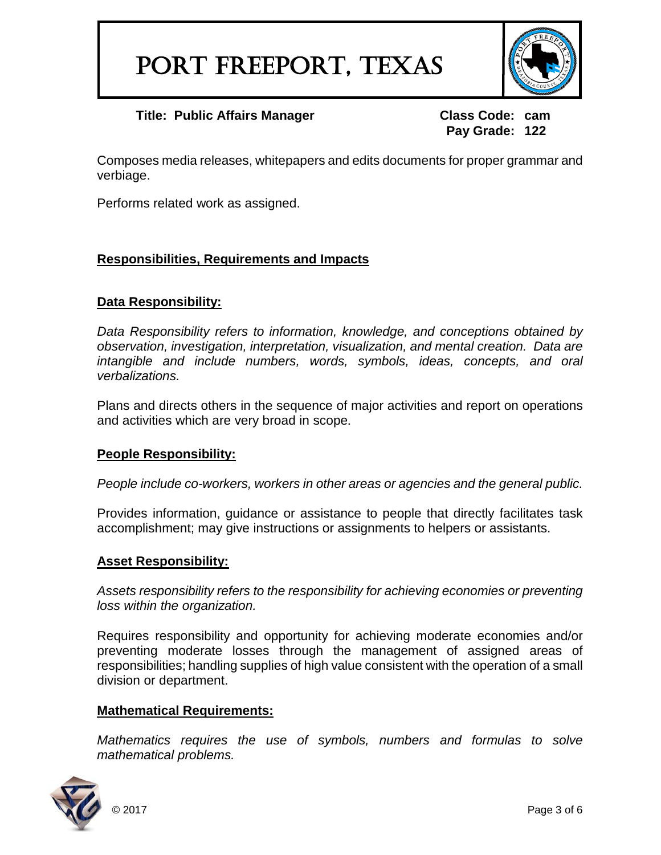

**Pay Grade: 122**

Composes media releases, whitepapers and edits documents for proper grammar and verbiage.

Performs related work as assigned.

# **Responsibilities, Requirements and Impacts**

# **Data Responsibility:**

*Data Responsibility refers to information, knowledge, and conceptions obtained by observation, investigation, interpretation, visualization, and mental creation. Data are intangible and include numbers, words, symbols, ideas, concepts, and oral verbalizations.*

Plans and directs others in the sequence of major activities and report on operations and activities which are very broad in scope.

# **People Responsibility:**

*People include co-workers, workers in other areas or agencies and the general public.*

Provides information, guidance or assistance to people that directly facilitates task accomplishment; may give instructions or assignments to helpers or assistants.

#### **Asset Responsibility:**

*Assets responsibility refers to the responsibility for achieving economies or preventing loss within the organization.*

Requires responsibility and opportunity for achieving moderate economies and/or preventing moderate losses through the management of assigned areas of responsibilities; handling supplies of high value consistent with the operation of a small division or department.

#### **Mathematical Requirements:**

*Mathematics requires the use of symbols, numbers and formulas to solve mathematical problems.*

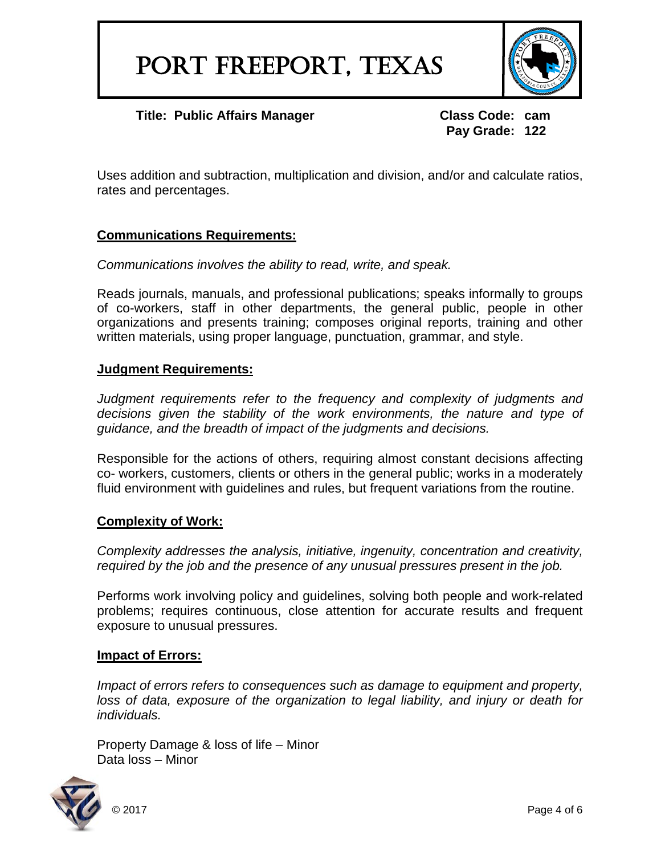

**Pay Grade: 122**

Uses addition and subtraction, multiplication and division, and/or and calculate ratios, rates and percentages.

# **Communications Requirements:**

*Communications involves the ability to read, write, and speak.*

Reads journals, manuals, and professional publications; speaks informally to groups of co-workers, staff in other departments, the general public, people in other organizations and presents training; composes original reports, training and other written materials, using proper language, punctuation, grammar, and style.

#### **Judgment Requirements:**

*Judgment requirements refer to the frequency and complexity of judgments and decisions given the stability of the work environments, the nature and type of guidance, and the breadth of impact of the judgments and decisions.*

Responsible for the actions of others, requiring almost constant decisions affecting co- workers, customers, clients or others in the general public; works in a moderately fluid environment with guidelines and rules, but frequent variations from the routine.

#### **Complexity of Work:**

*Complexity addresses the analysis, initiative, ingenuity, concentration and creativity, required by the job and the presence of any unusual pressures present in the job.*

Performs work involving policy and guidelines, solving both people and work-related problems; requires continuous, close attention for accurate results and frequent exposure to unusual pressures.

#### **Impact of Errors:**

*Impact of errors refers to consequences such as damage to equipment and property,* loss of data, exposure of the organization to legal liability, and injury or death for *individuals.*

Property Damage & loss of life – Minor Data loss – Minor

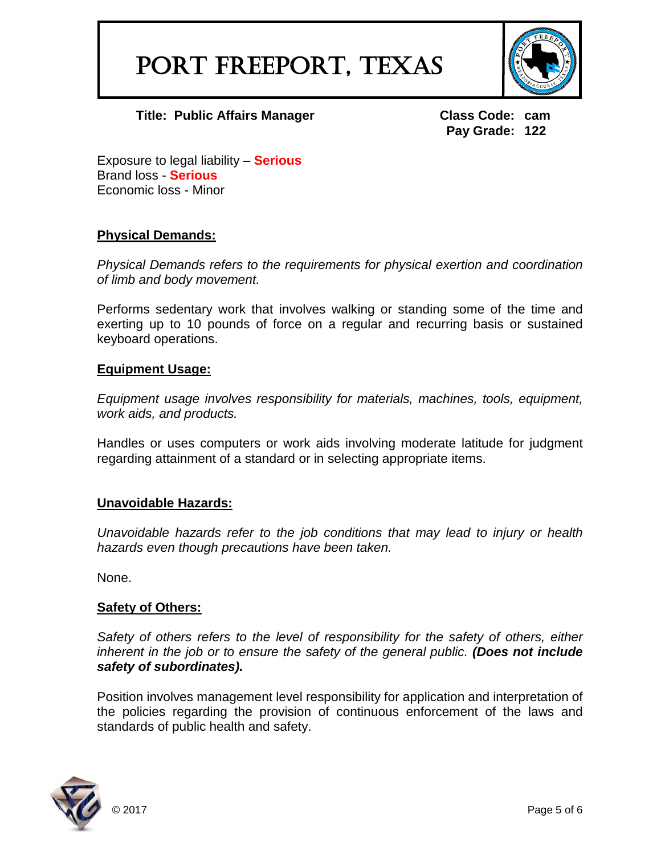# PORT FREEPORT, TEXAS



**Title: Public Affairs Manager Class Code: cam** 

**Pay Grade: 122**

Exposure to legal liability – **Serious** Brand loss - **Serious** Economic loss - Minor

# **Physical Demands:**

*Physical Demands refers to the requirements for physical exertion and coordination of limb and body movement.*

Performs sedentary work that involves walking or standing some of the time and exerting up to 10 pounds of force on a regular and recurring basis or sustained keyboard operations.

#### **Equipment Usage:**

*Equipment usage involves responsibility for materials, machines, tools, equipment, work aids, and products.*

Handles or uses computers or work aids involving moderate latitude for judgment regarding attainment of a standard or in selecting appropriate items.

# **Unavoidable Hazards:**

*Unavoidable hazards refer to the job conditions that may lead to injury or health hazards even though precautions have been taken.*

None.

#### **Safety of Others:**

*Safety of others refers to the level of responsibility for the safety of others, either inherent in the job or to ensure the safety of the general public. (Does not include safety of subordinates).*

Position involves management level responsibility for application and interpretation of the policies regarding the provision of continuous enforcement of the laws and standards of public health and safety.